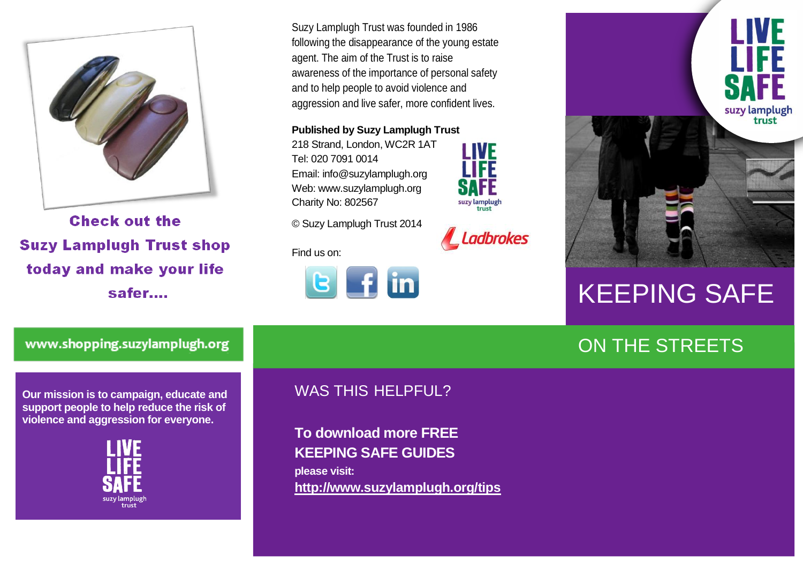

**Check out the Suzy Lamplugh Trust shop** today and make your life safer....

Suzy Lamplugh Trust was founded in 1986 following the disappearance of the young estate agent. The aim of the Trust is to raise awareness of the importance of personal safety and to help people to avoid violence and aggression and live safer, more confident lives.

**Published by Suzy Lamplugh Trust**

218 Strand, London, WC2R 1AT Tel: 020 7091 0014 Email: info@suzylamplugh.org Web: www.suzylamplugh.org Charity No: 802567



Ladbrokes

© Suzy Lamplugh Trust 2014

Find us on:





# KEEPING SAFE

## ON THE STREETS

www.shopping.suzylamplugh.org

**Our mission is to campaign, educate and support people to help reduce the risk of violence and aggression for everyone.** 



#### WAS THIS HELPFUL?

**To download more FREE KEEPING SAFE GUIDES please visit: <http://www.suzylamplugh.org/tips>**